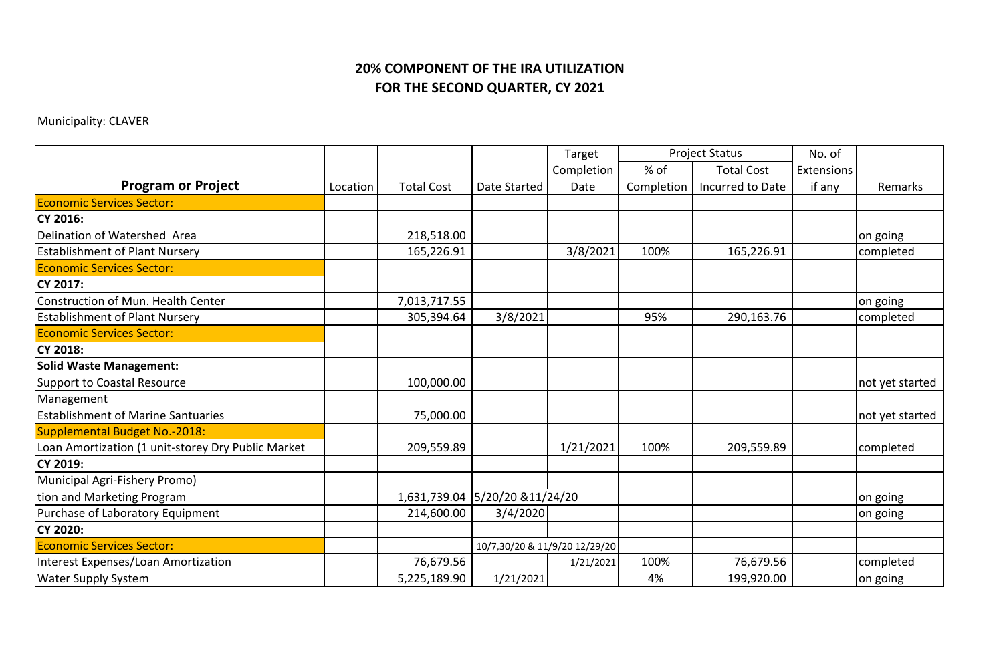## **FOR THE SECOND QUARTER, CY 2021 20% COMPONENT OF THE IRA UTILIZATION**

## Municipality: CLAVER

|                                                    |          |                   |                                 | Target     | <b>Project Status</b> |                   | No. of            |                 |
|----------------------------------------------------|----------|-------------------|---------------------------------|------------|-----------------------|-------------------|-------------------|-----------------|
|                                                    |          |                   |                                 | Completion | $%$ of                | <b>Total Cost</b> | <b>Extensions</b> |                 |
| <b>Program or Project</b>                          | Location | <b>Total Cost</b> | Date Started                    | Date       | Completion            | Incurred to Date  | if any            | Remarks         |
| <b>Economic Services Sector:</b>                   |          |                   |                                 |            |                       |                   |                   |                 |
| <b>CY 2016:</b>                                    |          |                   |                                 |            |                       |                   |                   |                 |
| Delination of Watershed Area                       |          | 218,518.00        |                                 |            |                       |                   |                   | on going        |
| <b>Establishment of Plant Nursery</b>              |          | 165,226.91        |                                 | 3/8/2021   | 100%                  | 165,226.91        |                   | completed       |
| <b>Economic Services Sector:</b>                   |          |                   |                                 |            |                       |                   |                   |                 |
| CY 2017:                                           |          |                   |                                 |            |                       |                   |                   |                 |
| Construction of Mun. Health Center                 |          | 7,013,717.55      |                                 |            |                       |                   |                   | on going        |
| <b>Establishment of Plant Nursery</b>              |          | 305,394.64        | 3/8/2021                        |            | 95%                   | 290,163.76        |                   | completed       |
| <b>Economic Services Sector:</b>                   |          |                   |                                 |            |                       |                   |                   |                 |
| <b>CY 2018:</b>                                    |          |                   |                                 |            |                       |                   |                   |                 |
| <b>Solid Waste Management:</b>                     |          |                   |                                 |            |                       |                   |                   |                 |
| <b>Support to Coastal Resource</b>                 |          | 100,000.00        |                                 |            |                       |                   |                   | not yet started |
| Management                                         |          |                   |                                 |            |                       |                   |                   |                 |
| <b>Establishment of Marine Santuaries</b>          |          | 75,000.00         |                                 |            |                       |                   |                   | not yet started |
| Supplemental Budget No.-2018:                      |          |                   |                                 |            |                       |                   |                   |                 |
| Loan Amortization (1 unit-storey Dry Public Market |          | 209,559.89        |                                 | 1/21/2021  | 100%                  | 209,559.89        |                   | completed       |
| CY 2019:                                           |          |                   |                                 |            |                       |                   |                   |                 |
| Municipal Agri-Fishery Promo)                      |          |                   |                                 |            |                       |                   |                   |                 |
| tion and Marketing Program                         |          |                   | 1,631,739.04 5/20/20 & 11/24/20 |            |                       |                   |                   | on going        |
| Purchase of Laboratory Equipment                   |          | 214,600.00        | 3/4/2020                        |            |                       |                   |                   | on going        |
| <b>CY 2020:</b>                                    |          |                   |                                 |            |                       |                   |                   |                 |
| <b>Economic Services Sector:</b>                   |          |                   | 10/7,30/20 & 11/9/20 12/29/20   |            |                       |                   |                   |                 |
| Interest Expenses/Loan Amortization                |          | 76,679.56         |                                 | 1/21/2021  | 100%                  | 76,679.56         |                   | completed       |
| <b>Water Supply System</b>                         |          | 5,225,189.90      | 1/21/2021                       |            | 4%                    | 199,920.00        |                   | on going        |